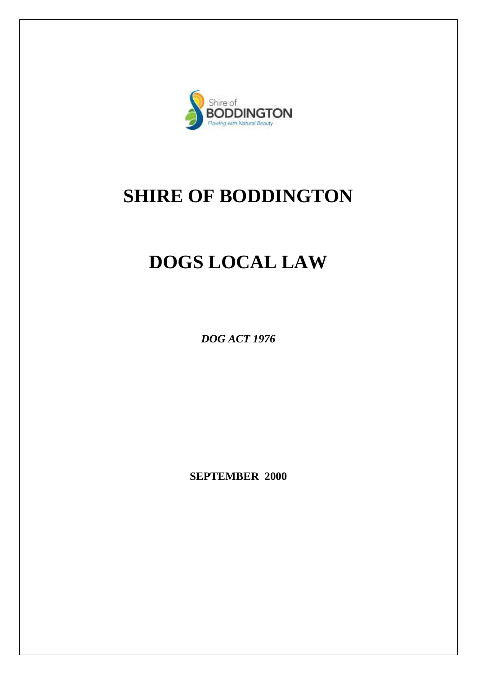

## **SHIRE OF BODDINGTON**

# **DOGS LOCAL LAW**

*DOG ACT 1976*

**SEPTEMBER 2000**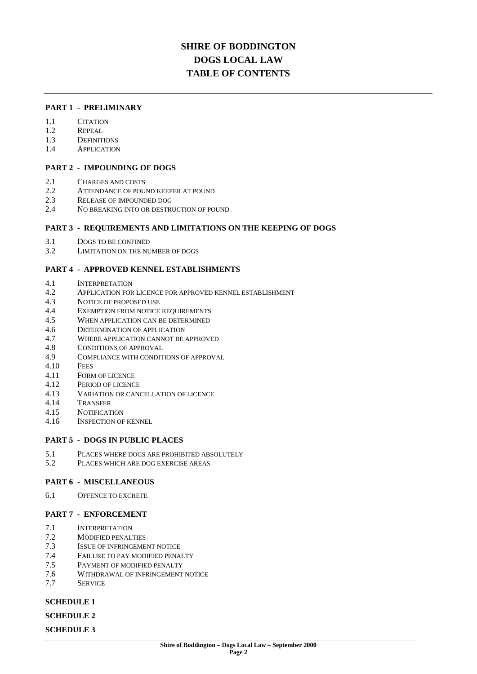### **SHIRE OF BODDINGTON DOGS LOCAL LAW TABLE OF CONTENTS**

#### **PART 1 - PRELIMINARY**

- 1.1 CITATION
- 1.2 REPEAL
- 1.3 DEFINITIONS
- 1.4 APPLICATION

#### **PART 2 - IMPOUNDING OF DOGS**

- 2.1 CHARGES AND COSTS
- 2.2 ATTENDANCE OF POUND KEEPER AT POUND
- 2.3 RELEASE OF IMPOUNDED DOG
- 2.4 NO BREAKING INTO OR DESTRUCTION OF POUND

#### **PART 3 - REQUIREMENTS AND LIMITATIONS ON THE KEEPING OF DOGS**

- 3.1 DOGS TO BE CONFINED
- 3.2 LIMITATION ON THE NUMBER OF DOGS

#### **PART 4 - APPROVED KENNEL ESTABLISHMENTS**

- 4.1 INTERPRETATION
- 4.2 APPLICATION FOR LICENCE FOR APPROVED KENNEL ESTABLISHMENT
- 4.3 NOTICE OF PROPOSED USE
- 4.4 EXEMPTION FROM NOTICE REQUIREMENTS
- 4.5 WHEN APPLICATION CAN BE DETERMINED
- 4.6 DETERMINATION OF APPLICATION
- 4.7 WHERE APPLICATION CANNOT BE APPROVED
- 4.8 CONDITIONS OF APPROVAL
- 4.9 COMPLIANCE WITH CONDITIONS OF APPROVAL
- 4.10 FEES
- 4.11 FORM OF LICENCE
- 4.12 PERIOD OF LICENCE
- 4.13 VARIATION OR CANCELLATION OF LICENCE
- 4.14 TRANSFER
- 4.15 NOTIFICATION
- 4.16 INSPECTION OF KENNEL

#### **PART 5 - DOGS IN PUBLIC PLACES**

- 5.1 PLACES WHERE DOGS ARE PROHIBITED ABSOLUTELY
- 5.2 PLACES WHICH ARE DOG EXERCISE AREAS

#### **PART 6 - MISCELLANEOUS**

6.1 OFFENCE TO EXCRETE

#### **PART 7 - ENFORCEMENT**

- 7.1 INTERPRETATION
- 7.2 MODIFIED PENALTIES
- 7.3 ISSUE OF INFRINGEMENT NOTICE
- 7.4 FAILURE TO PAY MODIFIED PENALTY
- 7.5 PAYMENT OF MODIFIED PENALTY
- 7.6 WITHDRAWAL OF INFRINGEMENT NOTICE
- 7.7 SERVICE

#### **SCHEDULE 1**

#### **SCHEDULE 2**

#### **SCHEDULE 3**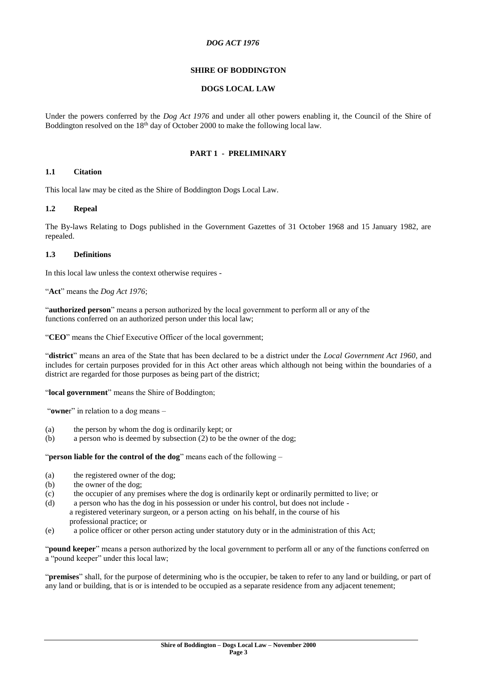#### *DOG ACT 1976*

#### **SHIRE OF BODDINGTON**

#### **DOGS LOCAL LAW**

Under the powers conferred by the *Dog Act 1976* and under all other powers enabling it, the Council of the Shire of Boddington resolved on the 18<sup>th</sup> day of October 2000 to make the following local law.

#### **PART 1 - PRELIMINARY**

#### **1.1 Citation**

This local law may be cited as the Shire of Boddington Dogs Local Law.

#### **1.2 Repeal**

The By-laws Relating to Dogs published in the Government Gazettes of 31 October 1968 and 15 January 1982, are repealed.

#### **1.3 Definitions**

In this local law unless the context otherwise requires -

"**Act**" means the *Dog Act 1976*;

"**authorized person**" means a person authorized by the local government to perform all or any of the functions conferred on an authorized person under this local law;

"**CEO**" means the Chief Executive Officer of the local government;

"**district**" means an area of the State that has been declared to be a district under the *Local Government Act 1960*, and includes for certain purposes provided for in this Act other areas which although not being within the boundaries of a district are regarded for those purposes as being part of the district;

"**local government**" means the Shire of Boddington;

"**owne**r" in relation to a dog means –

- (a) the person by whom the dog is ordinarily kept; or
- (b) a person who is deemed by subsection (2) to be the owner of the dog;

"**person liable for the control of the dog**" means each of the following –

- (a) the registered owner of the dog;
- (b) the owner of the dog;
- (c) the occupier of any premises where the dog is ordinarily kept or ordinarily permitted to live; or
- (d) a person who has the dog in his possession or under his control, but does not include a registered veterinary surgeon, or a person acting on his behalf, in the course of his professional practice; or
- (e) a police officer or other person acting under statutory duty or in the administration of this Act;

"**pound keeper**" means a person authorized by the local government to perform all or any of the functions conferred on a "pound keeper" under this local law;

"**premises**" shall, for the purpose of determining who is the occupier, be taken to refer to any land or building, or part of any land or building, that is or is intended to be occupied as a separate residence from any adjacent tenement;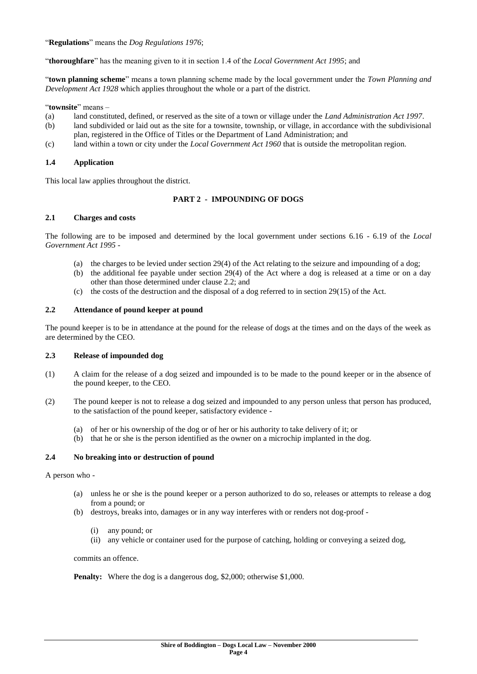"**Regulations**" means the *Dog Regulations 1976*;

"**thoroughfare**" has the meaning given to it in section 1.4 of the *Local Government Act 1995*; and

"**town planning scheme**" means a town planning scheme made by the local government under the *Town Planning and Development Act 1928* which applies throughout the whole or a part of the district.

"**townsite**" means –

- (a) land constituted, defined, or reserved as the site of a town or village under the *Land Administration Act 1997*.
- (b) land subdivided or laid out as the site for a townsite, township, or village, in accordance with the subdivisional plan, registered in the Office of Titles or the Department of Land Administration; and
- (c) land within a town or city under the *Local Government Act 1960* that is outside the metropolitan region.

#### **1.4 Application**

This local law applies throughout the district.

#### **PART 2 - IMPOUNDING OF DOGS**

#### **2.1 Charges and costs**

The following are to be imposed and determined by the local government under sections 6.16 - 6.19 of the *Local Government Act 1995* -

- (a) the charges to be levied under section 29(4) of the Act relating to the seizure and impounding of a dog;
- (b) the additional fee payable under section 29(4) of the Act where a dog is released at a time or on a day other than those determined under clause 2.2; and
- (c) the costs of the destruction and the disposal of a dog referred to in section 29(15) of the Act.

#### **2.2 Attendance of pound keeper at pound**

The pound keeper is to be in attendance at the pound for the release of dogs at the times and on the days of the week as are determined by the CEO.

#### **2.3 Release of impounded dog**

- (1) A claim for the release of a dog seized and impounded is to be made to the pound keeper or in the absence of the pound keeper, to the CEO.
- (2) The pound keeper is not to release a dog seized and impounded to any person unless that person has produced, to the satisfaction of the pound keeper, satisfactory evidence -
	- (a) of her or his ownership of the dog or of her or his authority to take delivery of it; or
	- (b) that he or she is the person identified as the owner on a microchip implanted in the dog.

#### **2.4 No breaking into or destruction of pound**

#### A person who -

- (a) unless he or she is the pound keeper or a person authorized to do so, releases or attempts to release a dog from a pound; or
- (b) destroys, breaks into, damages or in any way interferes with or renders not dog-proof
	- (i) any pound; or
	- (ii) any vehicle or container used for the purpose of catching, holding or conveying a seized dog,

commits an offence.

**Penalty:** Where the dog is a dangerous dog, \$2,000; otherwise \$1,000.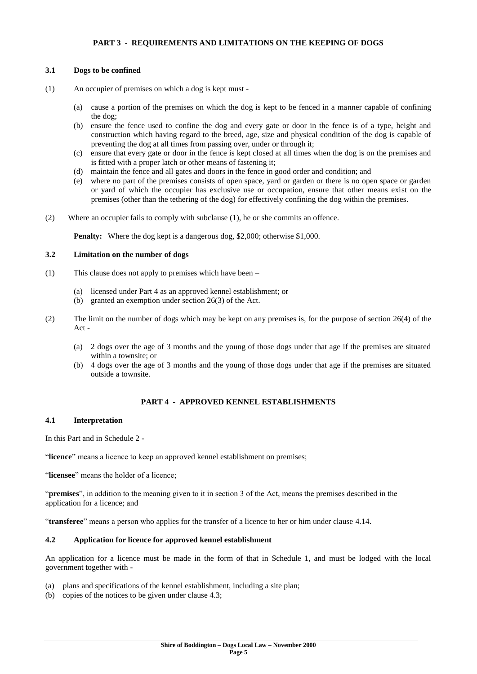#### **PART 3 - REQUIREMENTS AND LIMITATIONS ON THE KEEPING OF DOGS**

#### **3.1 Dogs to be confined**

- (1) An occupier of premises on which a dog is kept must
	- (a) cause a portion of the premises on which the dog is kept to be fenced in a manner capable of confining the dog;
	- (b) ensure the fence used to confine the dog and every gate or door in the fence is of a type, height and construction which having regard to the breed, age, size and physical condition of the dog is capable of preventing the dog at all times from passing over, under or through it;
	- (c) ensure that every gate or door in the fence is kept closed at all times when the dog is on the premises and is fitted with a proper latch or other means of fastening it;
	- (d) maintain the fence and all gates and doors in the fence in good order and condition; and
	- (e) where no part of the premises consists of open space, yard or garden or there is no open space or garden or yard of which the occupier has exclusive use or occupation, ensure that other means exist on the premises (other than the tethering of the dog) for effectively confining the dog within the premises.
- (2) Where an occupier fails to comply with subclause (1), he or she commits an offence.

**Penalty:** Where the dog kept is a dangerous dog, \$2,000; otherwise \$1,000.

#### **3.2 Limitation on the number of dogs**

- (1) This clause does not apply to premises which have been
	- (a) licensed under Part 4 as an approved kennel establishment; or
	- (b) granted an exemption under section 26(3) of the Act.
- (2) The limit on the number of dogs which may be kept on any premises is, for the purpose of section 26(4) of the Act -
	- (a) 2 dogs over the age of 3 months and the young of those dogs under that age if the premises are situated within a townsite; or
	- (b) 4 dogs over the age of 3 months and the young of those dogs under that age if the premises are situated outside a townsite.

#### **PART 4 - APPROVED KENNEL ESTABLISHMENTS**

#### **4.1 Interpretation**

In this Part and in Schedule 2 -

"**licence**" means a licence to keep an approved kennel establishment on premises;

"**licensee**" means the holder of a licence;

"**premises**", in addition to the meaning given to it in section 3 of the Act, means the premises described in the application for a licence; and

"**transferee**" means a person who applies for the transfer of a licence to her or him under clause 4.14.

#### **4.2 Application for licence for approved kennel establishment**

An application for a licence must be made in the form of that in Schedule 1, and must be lodged with the local government together with -

- (a) plans and specifications of the kennel establishment, including a site plan;
- (b) copies of the notices to be given under clause 4.3;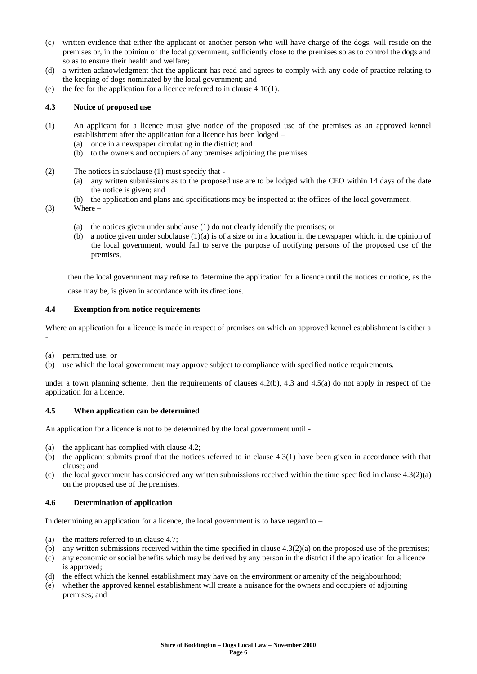- (c) written evidence that either the applicant or another person who will have charge of the dogs, will reside on the premises or, in the opinion of the local government, sufficiently close to the premises so as to control the dogs and so as to ensure their health and welfare;
- (d) a written acknowledgment that the applicant has read and agrees to comply with any code of practice relating to the keeping of dogs nominated by the local government; and
- (e) the fee for the application for a licence referred to in clause 4.10(1).

#### **4.3 Notice of proposed use**

- (1) An applicant for a licence must give notice of the proposed use of the premises as an approved kennel establishment after the application for a licence has been lodged –
	- (a) once in a newspaper circulating in the district; and
	- (b) to the owners and occupiers of any premises adjoining the premises.
- (2) The notices in subclause (1) must specify that
	- (a) any written submissions as to the proposed use are to be lodged with the CEO within 14 days of the date the notice is given; and
	- (b) the application and plans and specifications may be inspected at the offices of the local government.
- $(3)$  Where
	- (a) the notices given under subclause (1) do not clearly identify the premises; or
	- (b) a notice given under subclause  $(1)(a)$  is of a size or in a location in the newspaper which, in the opinion of the local government, would fail to serve the purpose of notifying persons of the proposed use of the premises,

then the local government may refuse to determine the application for a licence until the notices or notice, as the case may be, is given in accordance with its directions.

#### **4.4 Exemption from notice requirements**

Where an application for a licence is made in respect of premises on which an approved kennel establishment is either a -

(a) permitted use; or

(b) use which the local government may approve subject to compliance with specified notice requirements,

under a town planning scheme, then the requirements of clauses  $4.2(b)$ ,  $4.3$  and  $4.5(a)$  do not apply in respect of the application for a licence.

#### **4.5 When application can be determined**

An application for a licence is not to be determined by the local government until -

- (a) the applicant has complied with clause 4.2;
- (b) the applicant submits proof that the notices referred to in clause 4.3(1) have been given in accordance with that clause; and
- (c) the local government has considered any written submissions received within the time specified in clause  $4.3(2)(a)$ on the proposed use of the premises.

#### **4.6 Determination of application**

In determining an application for a licence, the local government is to have regard to  $-$ 

- (a) the matters referred to in clause 4.7;
- (b) any written submissions received within the time specified in clause  $4.3(2)(a)$  on the proposed use of the premises;
- (c) any economic or social benefits which may be derived by any person in the district if the application for a licence is approved;
- (d) the effect which the kennel establishment may have on the environment or amenity of the neighbourhood;
- (e) whether the approved kennel establishment will create a nuisance for the owners and occupiers of adjoining premises; and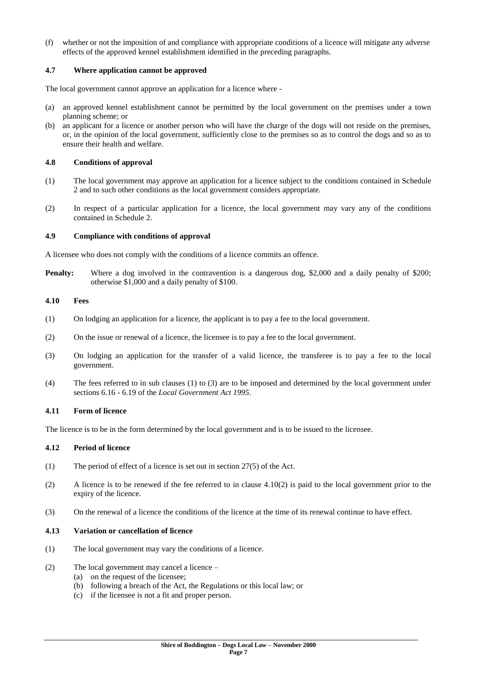(f) whether or not the imposition of and compliance with appropriate conditions of a licence will mitigate any adverse effects of the approved kennel establishment identified in the preceding paragraphs.

#### **4.7 Where application cannot be approved**

The local government cannot approve an application for a licence where -

- (a) an approved kennel establishment cannot be permitted by the local government on the premises under a town planning scheme; or
- (b) an applicant for a licence or another person who will have the charge of the dogs will not reside on the premises, or, in the opinion of the local government, sufficiently close to the premises so as to control the dogs and so as to ensure their health and welfare.

#### **4.8 Conditions of approval**

- (1) The local government may approve an application for a licence subject to the conditions contained in Schedule 2 and to such other conditions as the local government considers appropriate.
- (2) In respect of a particular application for a licence, the local government may vary any of the conditions contained in Schedule 2.

#### **4.9 Compliance with conditions of approval**

A licensee who does not comply with the conditions of a licence commits an offence.

**Penalty:** Where a dog involved in the contravention is a dangerous dog, \$2,000 and a daily penalty of \$200; otherwise \$1,000 and a daily penalty of \$100.

#### **4.10 Fees**

- (1) On lodging an application for a licence, the applicant is to pay a fee to the local government.
- (2) On the issue or renewal of a licence, the licensee is to pay a fee to the local government.
- (3) On lodging an application for the transfer of a valid licence, the transferee is to pay a fee to the local government.
- (4) The fees referred to in sub clauses (1) to (3) are to be imposed and determined by the local government under sections 6.16 - 6.19 of the *Local Government Act 1995*.

#### **4.11 Form of licence**

The licence is to be in the form determined by the local government and is to be issued to the licensee.

#### **4.12 Period of licence**

- (1) The period of effect of a licence is set out in section 27(5) of the Act.
- (2) A licence is to be renewed if the fee referred to in clause  $4.10(2)$  is paid to the local government prior to the expiry of the licence.
- (3) On the renewal of a licence the conditions of the licence at the time of its renewal continue to have effect.

#### **4.13 Variation or cancellation of licence**

- (1) The local government may vary the conditions of a licence.
- (2) The local government may cancel a licence
	- (a) on the request of the licensee;
	- (b) following a breach of the Act, the Regulations or this local law; or
	- (c) if the licensee is not a fit and proper person.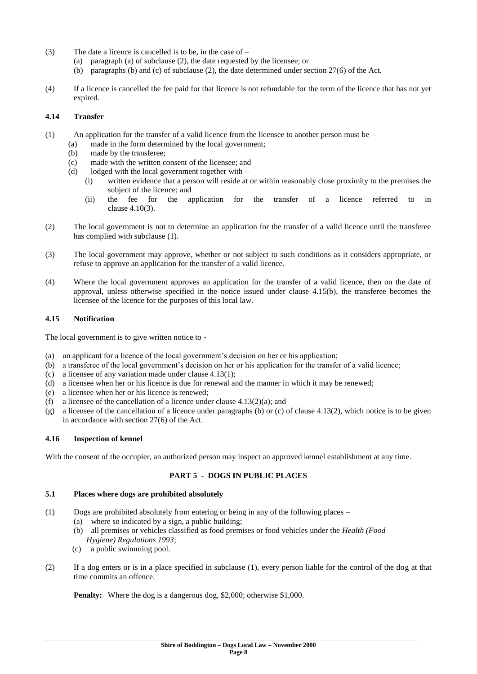- (3) The date a licence is cancelled is to be, in the case of  $-$ 
	- (a) paragraph (a) of subclause (2), the date requested by the licensee; or
	- (b) paragraphs (b) and (c) of subclause (2), the date determined under section 27(6) of the Act.
- (4) If a licence is cancelled the fee paid for that licence is not refundable for the term of the licence that has not yet expired.

#### **4.14 Transfer**

- (1) An application for the transfer of a valid licence from the licensee to another person must be  $-$ 
	- (a) made in the form determined by the local government;
	- (b) made by the transferee;
	- (c) made with the written consent of the licensee; and
	- (d) lodged with the local government together with  $-$ 
		- (i) written evidence that a person will reside at or within reasonably close proximity to the premises the subject of the licence: and
		- (ii) the fee for the application for the transfer of a licence referred to in clause 4.10(3).
- (2) The local government is not to determine an application for the transfer of a valid licence until the transferee has complied with subclause (1).
- (3) The local government may approve, whether or not subject to such conditions as it considers appropriate, or refuse to approve an application for the transfer of a valid licence.
- (4) Where the local government approves an application for the transfer of a valid licence, then on the date of approval, unless otherwise specified in the notice issued under clause 4.15(b), the transferee becomes the licensee of the licence for the purposes of this local law.

#### **4.15 Notification**

The local government is to give written notice to -

- (a) an applicant for a licence of the local government's decision on her or his application;
- (b) a transferee of the local government's decision on her or his application for the transfer of a valid licence;
- (c) a licensee of any variation made under clause 4.13(1);
- (d) a licensee when her or his licence is due for renewal and the manner in which it may be renewed;
- (e) a licensee when her or his licence is renewed;
- (f) a licensee of the cancellation of a licence under clause  $4.13(2)(a)$ ; and
- (g) a licensee of the cancellation of a licence under paragraphs (b) or (c) of clause 4.13(2), which notice is to be given in accordance with section 27(6) of the Act.

#### **4.16 Inspection of kennel**

With the consent of the occupier, an authorized person may inspect an approved kennel establishment at any time.

#### **PART 5 - DOGS IN PUBLIC PLACES**

#### **5.1 Places where dogs are prohibited absolutely**

- (1) Dogs are prohibited absolutely from entering or being in any of the following places
	- (a) where so indicated by a sign, a public building;
	- (b) all premises or vehicles classified as food premises or food vehicles under the *Health (Food Hygiene) Regulations 1993*;
	- (c) a public swimming pool.
- (2) If a dog enters or is in a place specified in subclause (1), every person liable for the control of the dog at that time commits an offence.

**Penalty:** Where the dog is a dangerous dog, \$2,000; otherwise \$1,000.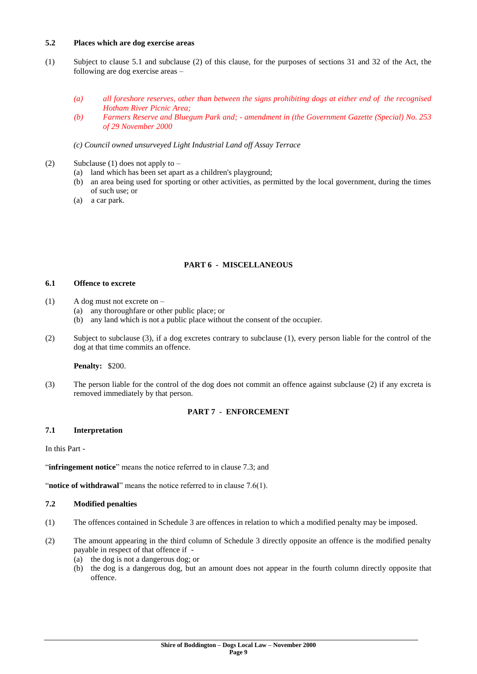#### **5.2 Places which are dog exercise areas**

- (1) Subject to clause 5.1 and subclause (2) of this clause, for the purposes of sections 31 and 32 of the Act, the following are dog exercise areas –
	- *(a) all foreshore reserves, other than between the signs prohibiting dogs at either end of the recognised Hotham River Picnic Area;*
	- *(b) Farmers Reserve and Bluegum Park and; - amendment in (the Government Gazette (Special) No. 253 of 29 November 2000*
	- *(c) Council owned unsurveyed Light Industrial Land off Assay Terrace*
- (2) Subclause (1) does not apply to  $-$ 
	- (a) land which has been set apart as a children's playground;
	- (b) an area being used for sporting or other activities, as permitted by the local government, during the times of such use; or
	- (a) a car park.

#### **PART 6 - MISCELLANEOUS**

#### **6.1 Offence to excrete**

- (1) A dog must not excrete on
	- (a) any thoroughfare or other public place; or
	- (b) any land which is not a public place without the consent of the occupier.
- (2) Subject to subclause (3), if a dog excretes contrary to subclause (1), every person liable for the control of the dog at that time commits an offence.

#### **Penalty:** \$200.

(3) The person liable for the control of the dog does not commit an offence against subclause (2) if any excreta is removed immediately by that person.

#### **PART 7 - ENFORCEMENT**

#### **7.1 Interpretation**

In this Part -

"infringement notice" means the notice referred to in clause 7.3; and

"**notice of withdrawal**" means the notice referred to in clause 7.6(1).

#### **7.2 Modified penalties**

- (1) The offences contained in Schedule 3 are offences in relation to which a modified penalty may be imposed.
- (2) The amount appearing in the third column of Schedule 3 directly opposite an offence is the modified penalty payable in respect of that offence if -
	- (a) the dog is not a dangerous dog; or
	- (b) the dog is a dangerous dog, but an amount does not appear in the fourth column directly opposite that offence.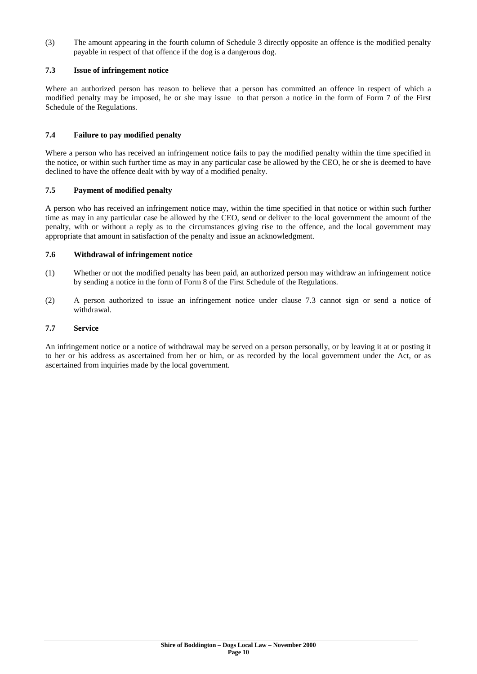(3) The amount appearing in the fourth column of Schedule 3 directly opposite an offence is the modified penalty payable in respect of that offence if the dog is a dangerous dog.

#### **7.3 Issue of infringement notice**

Where an authorized person has reason to believe that a person has committed an offence in respect of which a modified penalty may be imposed, he or she may issue to that person a notice in the form of Form 7 of the First Schedule of the Regulations.

#### **7.4 Failure to pay modified penalty**

Where a person who has received an infringement notice fails to pay the modified penalty within the time specified in the notice, or within such further time as may in any particular case be allowed by the CEO, he or she is deemed to have declined to have the offence dealt with by way of a modified penalty.

#### **7.5 Payment of modified penalty**

A person who has received an infringement notice may, within the time specified in that notice or within such further time as may in any particular case be allowed by the CEO, send or deliver to the local government the amount of the penalty, with or without a reply as to the circumstances giving rise to the offence, and the local government may appropriate that amount in satisfaction of the penalty and issue an acknowledgment.

#### **7.6 Withdrawal of infringement notice**

- (1) Whether or not the modified penalty has been paid, an authorized person may withdraw an infringement notice by sending a notice in the form of Form 8 of the First Schedule of the Regulations.
- (2) A person authorized to issue an infringement notice under clause 7.3 cannot sign or send a notice of withdrawal.

#### **7.7 Service**

An infringement notice or a notice of withdrawal may be served on a person personally, or by leaving it at or posting it to her or his address as ascertained from her or him, or as recorded by the local government under the Act, or as ascertained from inquiries made by the local government.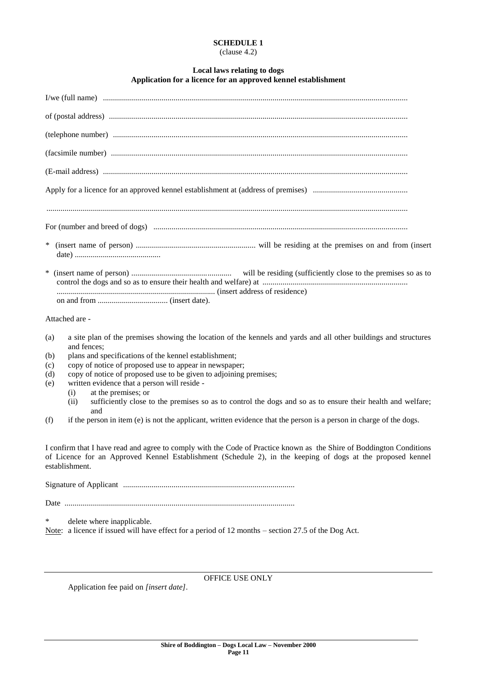#### **SCHEDULE 1** (clause 4.2)

#### **Local laws relating to dogs Application for a licence for an approved kennel establishment**

| $\ast$ |                                                                                                                                                                                                                                                       |  |  |  |  |
|--------|-------------------------------------------------------------------------------------------------------------------------------------------------------------------------------------------------------------------------------------------------------|--|--|--|--|
|        |                                                                                                                                                                                                                                                       |  |  |  |  |
|        |                                                                                                                                                                                                                                                       |  |  |  |  |
|        | Attached are -                                                                                                                                                                                                                                        |  |  |  |  |
| (a)    | a site plan of the premises showing the location of the kennels and yards and all other buildings and structures<br>and fences;                                                                                                                       |  |  |  |  |
| (b)    | plans and specifications of the kennel establishment;                                                                                                                                                                                                 |  |  |  |  |
| (c)    | copy of notice of proposed use to appear in newspaper;                                                                                                                                                                                                |  |  |  |  |
| (d)    | copy of notice of proposed use to be given to adjoining premises;                                                                                                                                                                                     |  |  |  |  |
| (e)    | written evidence that a person will reside -                                                                                                                                                                                                          |  |  |  |  |
|        | at the premises; or<br>(i)<br>sufficiently close to the premises so as to control the dogs and so as to ensure their health and welfare;                                                                                                              |  |  |  |  |
|        | (ii)<br>and                                                                                                                                                                                                                                           |  |  |  |  |
| (f)    | if the person in item $(e)$ is not the applicant, written evidence that the person is a person in charge of the dogs.                                                                                                                                 |  |  |  |  |
|        | I confirm that I have read and agree to comply with the Code of Practice known as the Shire of Boddington Conditions<br>of Licence for an Approved Kennel Establishment (Schedule 2), in the keeping of dogs at the proposed kennel<br>establishment. |  |  |  |  |
|        |                                                                                                                                                                                                                                                       |  |  |  |  |
|        |                                                                                                                                                                                                                                                       |  |  |  |  |
| ∗      | delete where inapplicable.                                                                                                                                                                                                                            |  |  |  |  |

Note: a licence if issued will have effect for a period of 12 months – section 27.5 of the Dog Act.

OFFICE USE ONLY

Application fee paid on *[insert date]*.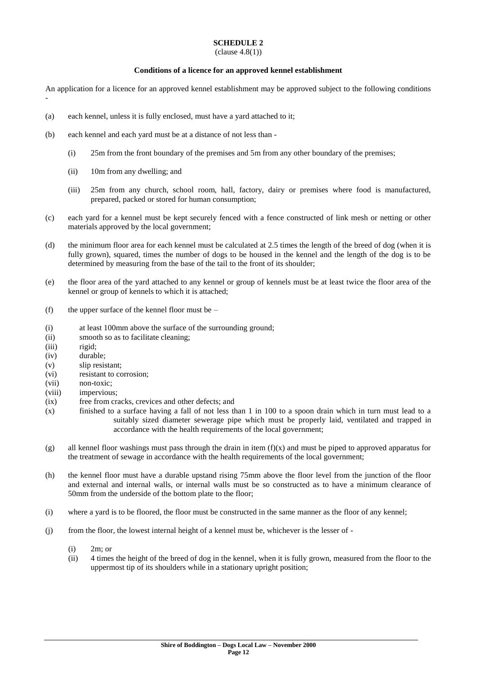### **SCHEDULE 2**

#### $clause\ 4.8(1))$

#### **Conditions of a licence for an approved kennel establishment**

An application for a licence for an approved kennel establishment may be approved subject to the following conditions -

- (a) each kennel, unless it is fully enclosed, must have a yard attached to it;
- (b) each kennel and each yard must be at a distance of not less than
	- (i) 25m from the front boundary of the premises and 5m from any other boundary of the premises;
	- (ii) 10m from any dwelling; and
	- (iii) 25m from any church, school room, hall, factory, dairy or premises where food is manufactured, prepared, packed or stored for human consumption;
- (c) each yard for a kennel must be kept securely fenced with a fence constructed of link mesh or netting or other materials approved by the local government;
- (d) the minimum floor area for each kennel must be calculated at 2.5 times the length of the breed of dog (when it is fully grown), squared, times the number of dogs to be housed in the kennel and the length of the dog is to be determined by measuring from the base of the tail to the front of its shoulder;
- (e) the floor area of the yard attached to any kennel or group of kennels must be at least twice the floor area of the kennel or group of kennels to which it is attached;
- (f) the upper surface of the kennel floor must be  $-$
- (i) at least 100mm above the surface of the surrounding ground;
- (ii) smooth so as to facilitate cleaning;
- (iii) rigid;
- (iv) durable;
- (v) slip resistant;
- (vi) resistant to corrosion;
- (vii) non-toxic;
- (viii) impervious;
- (ix) free from cracks, crevices and other defects; and
- (x) finished to a surface having a fall of not less than 1 in 100 to a spoon drain which in turn must lead to a suitably sized diameter sewerage pipe which must be properly laid, ventilated and trapped in accordance with the health requirements of the local government;
- (g) all kennel floor washings must pass through the drain in item  $(f)(x)$  and must be piped to approved apparatus for the treatment of sewage in accordance with the health requirements of the local government;
- (h) the kennel floor must have a durable upstand rising 75mm above the floor level from the junction of the floor and external and internal walls, or internal walls must be so constructed as to have a minimum clearance of 50mm from the underside of the bottom plate to the floor;
- (i) where a yard is to be floored, the floor must be constructed in the same manner as the floor of any kennel;
- (j) from the floor, the lowest internal height of a kennel must be, whichever is the lesser of
	- (i) 2m; or
	- (ii) 4 times the height of the breed of dog in the kennel, when it is fully grown, measured from the floor to the uppermost tip of its shoulders while in a stationary upright position;